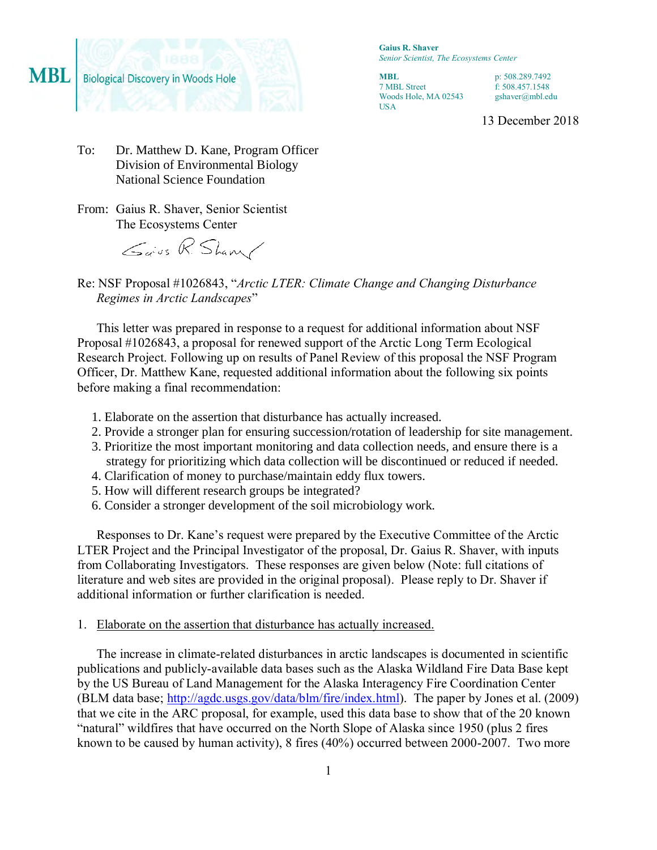

**Gaius R. Shaver** *Senior Scientist, The Ecosystems Center*

**MBL** 7 MBL Street Woods Hole, MA 02543 USA

p: 508.289.7492 f: 508.457.1548 gshaver@mbl.edu

13 December 2018

- To: Dr. Matthew D. Kane, Program Officer Division of Environmental Biology National Science Foundation
- From: Gaius R. Shaver, Senior Scientist The Ecosystems Center

Gaus R. Sham/

Re: NSF Proposal #1026843, "*Arctic LTER: Climate Change and Changing Disturbance Regimes in Arctic Landscapes*"

This letter was prepared in response to a request for additional information about NSF Proposal #1026843, a proposal for renewed support of the Arctic Long Term Ecological Research Project. Following up on results of Panel Review of this proposal the NSF Program Officer, Dr. Matthew Kane, requested additional information about the following six points before making a final recommendation:

- 1. Elaborate on the assertion that disturbance has actually increased.
- 2. Provide a stronger plan for ensuring succession/rotation of leadership for site management.
- 3. Prioritize the most important monitoring and data collection needs, and ensure there is a strategy for prioritizing which data collection will be discontinued or reduced if needed.
- 4. Clarification of money to purchase/maintain eddy flux towers.
- 5. How will different research groups be integrated?
- 6. Consider a stronger development of the soil microbiology work.

Responses to Dr. Kane's request were prepared by the Executive Committee of the Arctic LTER Project and the Principal Investigator of the proposal, Dr. Gaius R. Shaver, with inputs from Collaborating Investigators. These responses are given below (Note: full citations of literature and web sites are provided in the original proposal). Please reply to Dr. Shaver if additional information or further clarification is needed.

# 1. Elaborate on the assertion that disturbance has actually increased.

The increase in climate-related disturbances in arctic landscapes is documented in scientific publications and publicly-available data bases such as the Alaska Wildland Fire Data Base kept by the US Bureau of Land Management for the Alaska Interagency Fire Coordination Center (BLM data base; [http://agdc.usgs.gov/data/blm/fire/index.html\)](http://agdc.usgs.gov/data/blm/fire/index.html). The paper by Jones et al. (2009) that we cite in the ARC proposal, for example, used this data base to show that of the 20 known "natural" wildfires that have occurred on the North Slope of Alaska since 1950 (plus 2 fires known to be caused by human activity), 8 fires (40%) occurred between 2000-2007. Two more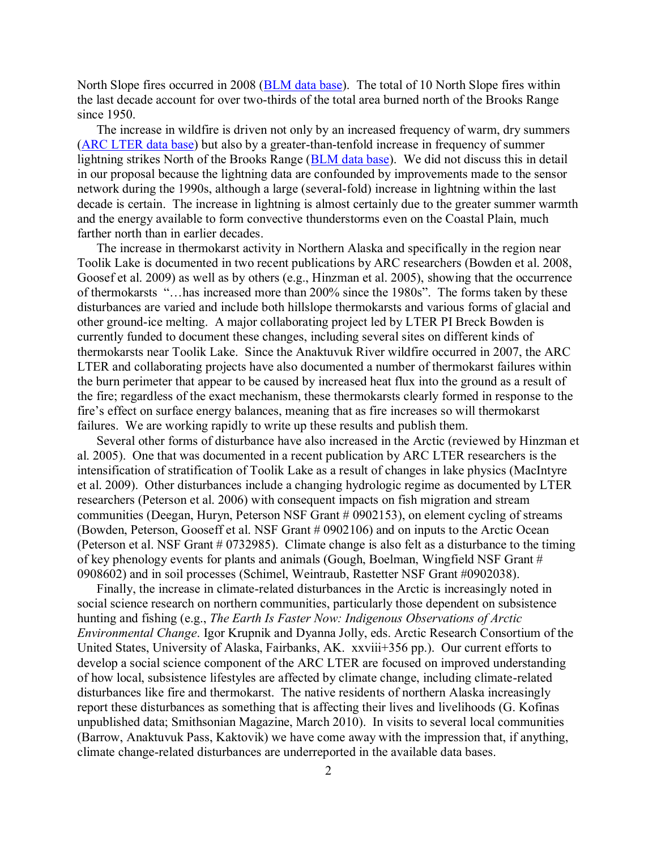North Slope fires occurred in 2008 [\(BLM data base\)](http://agdc.usgs.gov/data/blm/fire/index.html). The total of 10 North Slope fires within the last decade account for over two-thirds of the total area burned north of the Brooks Range since 1950.

The increase in wildfire is driven not only by an increased frequency of warm, dry summers [\(ARC LTER data base\)](http://ecosystems.mbl.edu/arc/) but also by a greater-than-tenfold increase in frequency of summer lightning strikes North of the Brooks Range [\(BLM data base\)](http://agdc.usgs.gov/data/blm/fire/index.html). We did not discuss this in detail in our proposal because the lightning data are confounded by improvements made to the sensor network during the 1990s, although a large (several-fold) increase in lightning within the last decade is certain. The increase in lightning is almost certainly due to the greater summer warmth and the energy available to form convective thunderstorms even on the Coastal Plain, much farther north than in earlier decades.

The increase in thermokarst activity in Northern Alaska and specifically in the region near Toolik Lake is documented in two recent publications by ARC researchers (Bowden et al. 2008, Goosef et al. 2009) as well as by others (e.g., Hinzman et al. 2005), showing that the occurrence of thermokarsts "…has increased more than 200% since the 1980s". The forms taken by these disturbances are varied and include both hillslope thermokarsts and various forms of glacial and other ground-ice melting. A major collaborating project led by LTER PI Breck Bowden is currently funded to document these changes, including several sites on different kinds of thermokarsts near Toolik Lake. Since the Anaktuvuk River wildfire occurred in 2007, the ARC LTER and collaborating projects have also documented a number of thermokarst failures within the burn perimeter that appear to be caused by increased heat flux into the ground as a result of the fire; regardless of the exact mechanism, these thermokarsts clearly formed in response to the fire's effect on surface energy balances, meaning that as fire increases so will thermokarst failures. We are working rapidly to write up these results and publish them.

Several other forms of disturbance have also increased in the Arctic (reviewed by Hinzman et al. 2005). One that was documented in a recent publication by ARC LTER researchers is the intensification of stratification of Toolik Lake as a result of changes in lake physics (MacIntyre et al. 2009). Other disturbances include a changing hydrologic regime as documented by LTER researchers (Peterson et al. 2006) with consequent impacts on fish migration and stream communities (Deegan, Huryn, Peterson NSF Grant # 0902153), on element cycling of streams (Bowden, Peterson, Gooseff et al. NSF Grant # 0902106) and on inputs to the Arctic Ocean (Peterson et al. NSF Grant # 0732985). Climate change is also felt as a disturbance to the timing of key phenology events for plants and animals (Gough, Boelman, Wingfield NSF Grant # 0908602) and in soil processes (Schimel, Weintraub, Rastetter NSF Grant #0902038).

Finally, the increase in climate-related disturbances in the Arctic is increasingly noted in social science research on northern communities, particularly those dependent on subsistence hunting and fishing (e.g., *The Earth Is Faster Now: Indigenous Observations of Arctic Environmental Change*. Igor Krupnik and Dyanna Jolly, eds. Arctic Research Consortium of the United States, University of Alaska, Fairbanks, AK. xxviii+356 pp.). Our current efforts to develop a social science component of the ARC LTER are focused on improved understanding of how local, subsistence lifestyles are affected by climate change, including climate-related disturbances like fire and thermokarst. The native residents of northern Alaska increasingly report these disturbances as something that is affecting their lives and livelihoods (G. Kofinas unpublished data; Smithsonian Magazine, March 2010). In visits to several local communities (Barrow, Anaktuvuk Pass, Kaktovik) we have come away with the impression that, if anything, climate change-related disturbances are underreported in the available data bases.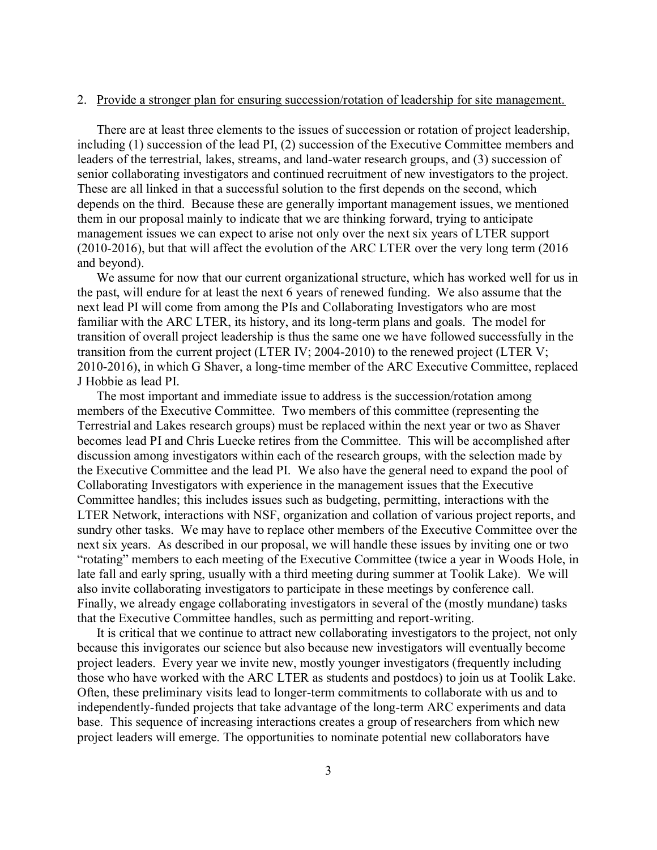#### 2. Provide a stronger plan for ensuring succession/rotation of leadership for site management.

There are at least three elements to the issues of succession or rotation of project leadership, including (1) succession of the lead PI, (2) succession of the Executive Committee members and leaders of the terrestrial, lakes, streams, and land-water research groups, and (3) succession of senior collaborating investigators and continued recruitment of new investigators to the project. These are all linked in that a successful solution to the first depends on the second, which depends on the third. Because these are generally important management issues, we mentioned them in our proposal mainly to indicate that we are thinking forward, trying to anticipate management issues we can expect to arise not only over the next six years of LTER support (2010-2016), but that will affect the evolution of the ARC LTER over the very long term (2016 and beyond).

We assume for now that our current organizational structure, which has worked well for us in the past, will endure for at least the next 6 years of renewed funding. We also assume that the next lead PI will come from among the PIs and Collaborating Investigators who are most familiar with the ARC LTER, its history, and its long-term plans and goals. The model for transition of overall project leadership is thus the same one we have followed successfully in the transition from the current project (LTER IV; 2004-2010) to the renewed project (LTER V; 2010-2016), in which G Shaver, a long-time member of the ARC Executive Committee, replaced J Hobbie as lead PI.

The most important and immediate issue to address is the succession/rotation among members of the Executive Committee. Two members of this committee (representing the Terrestrial and Lakes research groups) must be replaced within the next year or two as Shaver becomes lead PI and Chris Luecke retires from the Committee. This will be accomplished after discussion among investigators within each of the research groups, with the selection made by the Executive Committee and the lead PI. We also have the general need to expand the pool of Collaborating Investigators with experience in the management issues that the Executive Committee handles; this includes issues such as budgeting, permitting, interactions with the LTER Network, interactions with NSF, organization and collation of various project reports, and sundry other tasks. We may have to replace other members of the Executive Committee over the next six years. As described in our proposal, we will handle these issues by inviting one or two "rotating" members to each meeting of the Executive Committee (twice a year in Woods Hole, in late fall and early spring, usually with a third meeting during summer at Toolik Lake). We will also invite collaborating investigators to participate in these meetings by conference call. Finally, we already engage collaborating investigators in several of the (mostly mundane) tasks that the Executive Committee handles, such as permitting and report-writing.

It is critical that we continue to attract new collaborating investigators to the project, not only because this invigorates our science but also because new investigators will eventually become project leaders. Every year we invite new, mostly younger investigators (frequently including those who have worked with the ARC LTER as students and postdocs) to join us at Toolik Lake. Often, these preliminary visits lead to longer-term commitments to collaborate with us and to independently-funded projects that take advantage of the long-term ARC experiments and data base. This sequence of increasing interactions creates a group of researchers from which new project leaders will emerge. The opportunities to nominate potential new collaborators have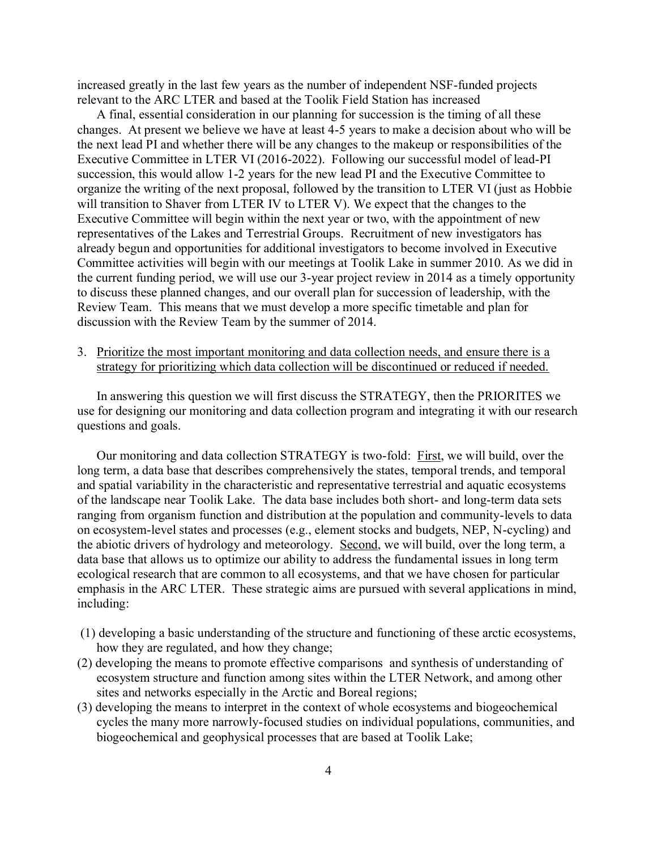increased greatly in the last few years as the number of independent NSF-funded projects relevant to the ARC LTER and based at the Toolik Field Station has increased

A final, essential consideration in our planning for succession is the timing of all these changes. At present we believe we have at least 4-5 years to make a decision about who will be the next lead PI and whether there will be any changes to the makeup or responsibilities of the Executive Committee in LTER VI (2016-2022). Following our successful model of lead-PI succession, this would allow 1-2 years for the new lead PI and the Executive Committee to organize the writing of the next proposal, followed by the transition to LTER VI (just as Hobbie will transition to Shaver from LTER IV to LTER V). We expect that the changes to the Executive Committee will begin within the next year or two, with the appointment of new representatives of the Lakes and Terrestrial Groups. Recruitment of new investigators has already begun and opportunities for additional investigators to become involved in Executive Committee activities will begin with our meetings at Toolik Lake in summer 2010. As we did in the current funding period, we will use our 3-year project review in 2014 as a timely opportunity to discuss these planned changes, and our overall plan for succession of leadership, with the Review Team. This means that we must develop a more specific timetable and plan for discussion with the Review Team by the summer of 2014.

3. Prioritize the most important monitoring and data collection needs, and ensure there is a strategy for prioritizing which data collection will be discontinued or reduced if needed.

In answering this question we will first discuss the STRATEGY, then the PRIORITES we use for designing our monitoring and data collection program and integrating it with our research questions and goals.

Our monitoring and data collection STRATEGY is two-fold: First, we will build, over the long term, a data base that describes comprehensively the states, temporal trends, and temporal and spatial variability in the characteristic and representative terrestrial and aquatic ecosystems of the landscape near Toolik Lake. The data base includes both short- and long-term data sets ranging from organism function and distribution at the population and community-levels to data on ecosystem-level states and processes (e.g., element stocks and budgets, NEP, N-cycling) and the abiotic drivers of hydrology and meteorology. Second, we will build, over the long term, a data base that allows us to optimize our ability to address the fundamental issues in long term ecological research that are common to all ecosystems, and that we have chosen for particular emphasis in the ARC LTER. These strategic aims are pursued with several applications in mind, including:

- (1) developing a basic understanding of the structure and functioning of these arctic ecosystems, how they are regulated, and how they change;
- (2) developing the means to promote effective comparisons and synthesis of understanding of ecosystem structure and function among sites within the LTER Network, and among other sites and networks especially in the Arctic and Boreal regions;
- (3) developing the means to interpret in the context of whole ecosystems and biogeochemical cycles the many more narrowly-focused studies on individual populations, communities, and biogeochemical and geophysical processes that are based at Toolik Lake;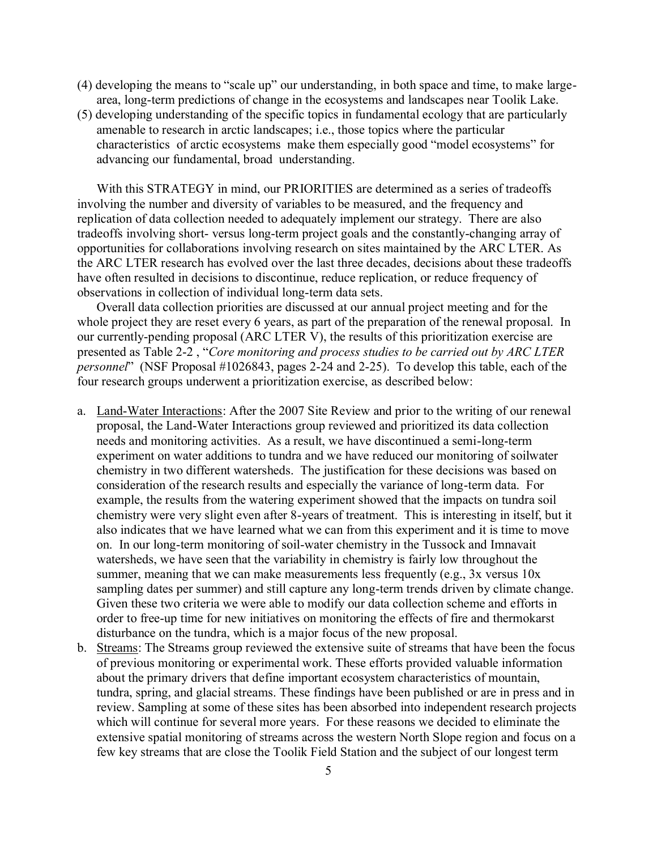- (4) developing the means to "scale up" our understanding, in both space and time, to make largearea, long-term predictions of change in the ecosystems and landscapes near Toolik Lake.
- (5) developing understanding of the specific topics in fundamental ecology that are particularly amenable to research in arctic landscapes; i.e., those topics where the particular characteristics of arctic ecosystems make them especially good "model ecosystems" for advancing our fundamental, broad understanding.

With this STRATEGY in mind, our PRIORITIES are determined as a series of tradeoffs involving the number and diversity of variables to be measured, and the frequency and replication of data collection needed to adequately implement our strategy. There are also tradeoffs involving short- versus long-term project goals and the constantly-changing array of opportunities for collaborations involving research on sites maintained by the ARC LTER. As the ARC LTER research has evolved over the last three decades, decisions about these tradeoffs have often resulted in decisions to discontinue, reduce replication, or reduce frequency of observations in collection of individual long-term data sets.

Overall data collection priorities are discussed at our annual project meeting and for the whole project they are reset every 6 years, as part of the preparation of the renewal proposal. In our currently-pending proposal (ARC LTER V), the results of this prioritization exercise are presented as Table 2-2 , "*Core monitoring and process studies to be carried out by ARC LTER personnel*" (NSF Proposal #1026843, pages 2-24 and 2-25). To develop this table, each of the four research groups underwent a prioritization exercise, as described below:

- a. Land-Water Interactions: After the 2007 Site Review and prior to the writing of our renewal proposal, the Land-Water Interactions group reviewed and prioritized its data collection needs and monitoring activities. As a result, we have discontinued a semi-long-term experiment on water additions to tundra and we have reduced our monitoring of soilwater chemistry in two different watersheds. The justification for these decisions was based on consideration of the research results and especially the variance of long-term data. For example, the results from the watering experiment showed that the impacts on tundra soil chemistry were very slight even after 8-years of treatment. This is interesting in itself, but it also indicates that we have learned what we can from this experiment and it is time to move on. In our long-term monitoring of soil-water chemistry in the Tussock and Imnavait watersheds, we have seen that the variability in chemistry is fairly low throughout the summer, meaning that we can make measurements less frequently (e.g., 3x versus 10x sampling dates per summer) and still capture any long-term trends driven by climate change. Given these two criteria we were able to modify our data collection scheme and efforts in order to free-up time for new initiatives on monitoring the effects of fire and thermokarst disturbance on the tundra, which is a major focus of the new proposal.
- b. Streams: The Streams group reviewed the extensive suite of streams that have been the focus of previous monitoring or experimental work. These efforts provided valuable information about the primary drivers that define important ecosystem characteristics of mountain, tundra, spring, and glacial streams. These findings have been published or are in press and in review. Sampling at some of these sites has been absorbed into independent research projects which will continue for several more years. For these reasons we decided to eliminate the extensive spatial monitoring of streams across the western North Slope region and focus on a few key streams that are close the Toolik Field Station and the subject of our longest term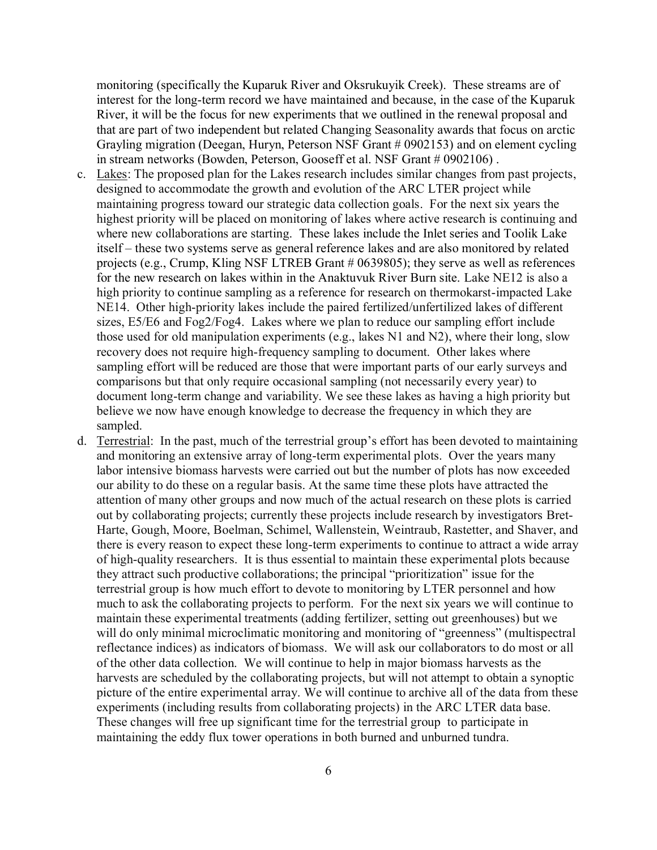monitoring (specifically the Kuparuk River and Oksrukuyik Creek). These streams are of interest for the long-term record we have maintained and because, in the case of the Kuparuk River, it will be the focus for new experiments that we outlined in the renewal proposal and that are part of two independent but related Changing Seasonality awards that focus on arctic Grayling migration (Deegan, Huryn, Peterson NSF Grant # 0902153) and on element cycling in stream networks (Bowden, Peterson, Gooseff et al. NSF Grant # 0902106).

- c. Lakes: The proposed plan for the Lakes research includes similar changes from past projects, designed to accommodate the growth and evolution of the ARC LTER project while maintaining progress toward our strategic data collection goals. For the next six years the highest priority will be placed on monitoring of lakes where active research is continuing and where new collaborations are starting. These lakes include the Inlet series and Toolik Lake itself – these two systems serve as general reference lakes and are also monitored by related projects (e.g., Crump, Kling NSF LTREB Grant # 0639805); they serve as well as references for the new research on lakes within in the Anaktuvuk River Burn site. Lake NE12 is also a high priority to continue sampling as a reference for research on thermokarst-impacted Lake NE14. Other high-priority lakes include the paired fertilized/unfertilized lakes of different sizes, E5/E6 and Fog2/Fog4. Lakes where we plan to reduce our sampling effort include those used for old manipulation experiments (e.g., lakes N1 and N2), where their long, slow recovery does not require high-frequency sampling to document. Other lakes where sampling effort will be reduced are those that were important parts of our early surveys and comparisons but that only require occasional sampling (not necessarily every year) to document long-term change and variability. We see these lakes as having a high priority but believe we now have enough knowledge to decrease the frequency in which they are sampled.
- d. Terrestrial: In the past, much of the terrestrial group's effort has been devoted to maintaining and monitoring an extensive array of long-term experimental plots. Over the years many labor intensive biomass harvests were carried out but the number of plots has now exceeded our ability to do these on a regular basis. At the same time these plots have attracted the attention of many other groups and now much of the actual research on these plots is carried out by collaborating projects; currently these projects include research by investigators Bret-Harte, Gough, Moore, Boelman, Schimel, Wallenstein, Weintraub, Rastetter, and Shaver, and there is every reason to expect these long-term experiments to continue to attract a wide array of high-quality researchers. It is thus essential to maintain these experimental plots because they attract such productive collaborations; the principal "prioritization" issue for the terrestrial group is how much effort to devote to monitoring by LTER personnel and how much to ask the collaborating projects to perform. For the next six years we will continue to maintain these experimental treatments (adding fertilizer, setting out greenhouses) but we will do only minimal microclimatic monitoring and monitoring of "greenness" (multispectral reflectance indices) as indicators of biomass. We will ask our collaborators to do most or all of the other data collection. We will continue to help in major biomass harvests as the harvests are scheduled by the collaborating projects, but will not attempt to obtain a synoptic picture of the entire experimental array. We will continue to archive all of the data from these experiments (including results from collaborating projects) in the ARC LTER data base. These changes will free up significant time for the terrestrial group to participate in maintaining the eddy flux tower operations in both burned and unburned tundra.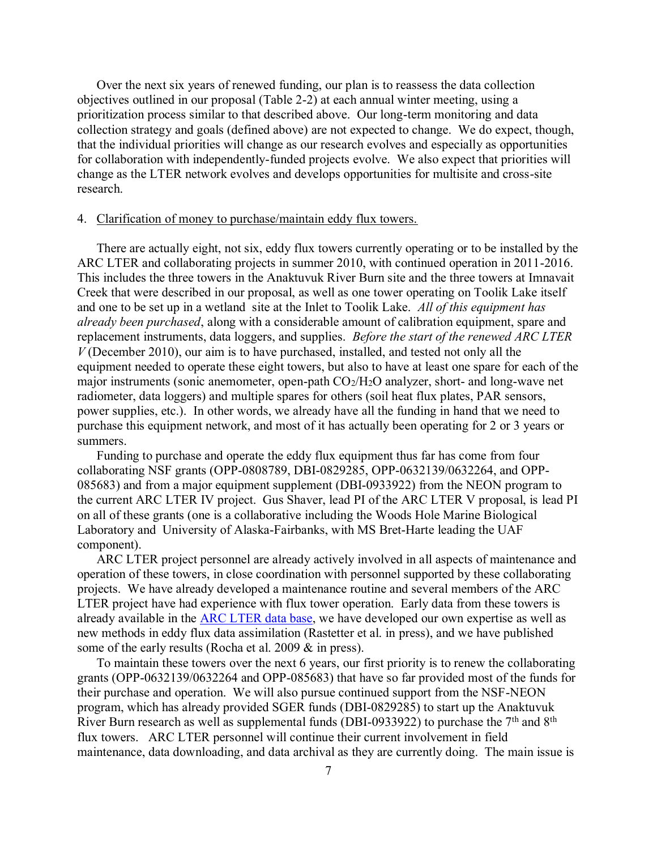Over the next six years of renewed funding, our plan is to reassess the data collection objectives outlined in our proposal (Table 2-2) at each annual winter meeting, using a prioritization process similar to that described above. Our long-term monitoring and data collection strategy and goals (defined above) are not expected to change. We do expect, though, that the individual priorities will change as our research evolves and especially as opportunities for collaboration with independently-funded projects evolve. We also expect that priorities will change as the LTER network evolves and develops opportunities for multisite and cross-site research.

### 4. Clarification of money to purchase/maintain eddy flux towers.

There are actually eight, not six, eddy flux towers currently operating or to be installed by the ARC LTER and collaborating projects in summer 2010, with continued operation in 2011-2016. This includes the three towers in the Anaktuvuk River Burn site and the three towers at Imnavait Creek that were described in our proposal, as well as one tower operating on Toolik Lake itself and one to be set up in a wetland site at the Inlet to Toolik Lake. *All of this equipment has already been purchased*, along with a considerable amount of calibration equipment, spare and replacement instruments, data loggers, and supplies. *Before the start of the renewed ARC LTER V* (December 2010), our aim is to have purchased, installed, and tested not only all the equipment needed to operate these eight towers, but also to have at least one spare for each of the major instruments (sonic anemometer, open-path  $CO<sub>2</sub>/H<sub>2</sub>O$  analyzer, short- and long-wave net radiometer, data loggers) and multiple spares for others (soil heat flux plates, PAR sensors, power supplies, etc.). In other words, we already have all the funding in hand that we need to purchase this equipment network, and most of it has actually been operating for 2 or 3 years or summers.

Funding to purchase and operate the eddy flux equipment thus far has come from four collaborating NSF grants (OPP-0808789, DBI-0829285, OPP-0632139/0632264, and OPP-085683) and from a major equipment supplement (DBI-0933922) from the NEON program to the current ARC LTER IV project. Gus Shaver, lead PI of the ARC LTER V proposal, is lead PI on all of these grants (one is a collaborative including the Woods Hole Marine Biological Laboratory and University of Alaska-Fairbanks, with MS Bret-Harte leading the UAF component).

ARC LTER project personnel are already actively involved in all aspects of maintenance and operation of these towers, in close coordination with personnel supported by these collaborating projects. We have already developed a maintenance routine and several members of the ARC LTER project have had experience with flux tower operation. Early data from these towers is already available in the **ARC LTER** data base, we have developed our own expertise as well as new methods in eddy flux data assimilation (Rastetter et al. in press), and we have published some of the early results (Rocha et al. 2009  $&$  in press).

To maintain these towers over the next 6 years, our first priority is to renew the collaborating grants (OPP-0632139/0632264 and OPP-085683) that have so far provided most of the funds for their purchase and operation. We will also pursue continued support from the NSF-NEON program, which has already provided SGER funds (DBI-0829285) to start up the Anaktuvuk River Burn research as well as supplemental funds (DBI-0933922) to purchase the  $7<sup>th</sup>$  and  $8<sup>th</sup>$ flux towers. ARC LTER personnel will continue their current involvement in field maintenance, data downloading, and data archival as they are currently doing. The main issue is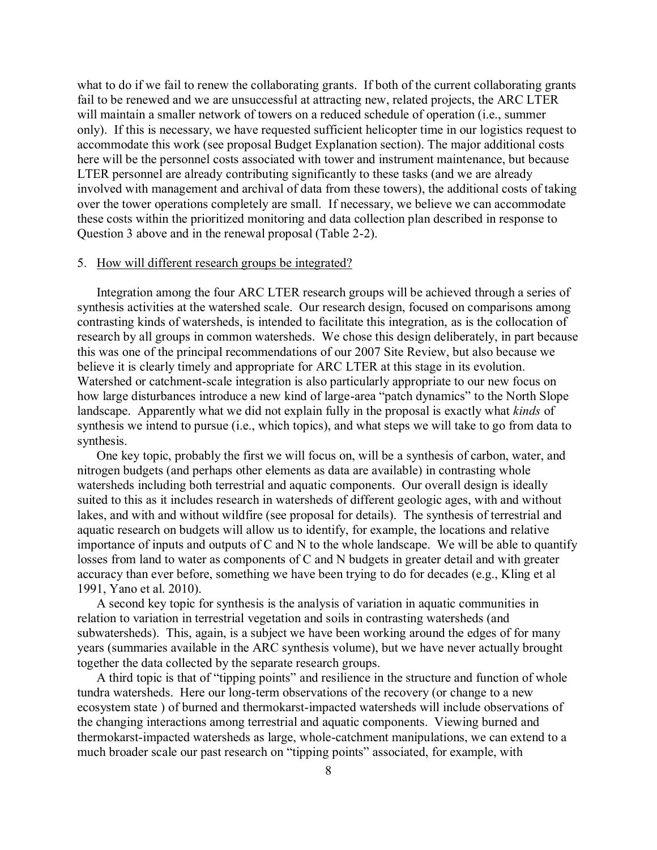what to do if we fail to renew the collaborating grants. If both of the current collaborating grants fail to be renewed and we are unsuccessful at attracting new, related projects, the ARC LTER will maintain a smaller network of towers on a reduced schedule of operation (i.e., summer only). If this is necessary, we have requested sufficient helicopter time in our logistics request to accommodate this work (see proposal Budget Explanation section). The major additional costs here will be the personnel costs associated with tower and instrument maintenance, but because LTER personnel are already contributing significantly to these tasks (and we are already involved with management and archival of data from these towers), the additional costs of taking over the tower operations completely are small. If necessary, we believe we can accommodate these costs within the prioritized monitoring and data collection plan described in response to Question 3 above and in the renewal proposal (Table 2-2).

### 5. How will different research groups be integrated?

Integration among the four ARC LTER research groups will be achieved through a series of synthesis activities at the watershed scale. Our research design, focused on comparisons among contrasting kinds of watersheds, is intended to facilitate this integration, as is the collocation of research by all groups in common watersheds. We chose this design deliberately, in part because this was one of the principal recommendations of our 2007 Site Review, but also because we believe it is clearly timely and appropriate for ARC LTER at this stage in its evolution. Watershed or catchment-scale integration is also particularly appropriate to our new focus on how large disturbances introduce a new kind of large-area "patch dynamics" to the North Slope landscape. Apparently what we did not explain fully in the proposal is exactly what *kinds* of synthesis we intend to pursue (i.e., which topics), and what steps we will take to go from data to synthesis.

One key topic, probably the first we will focus on, will be a synthesis of carbon, water, and nitrogen budgets (and perhaps other elements as data are available) in contrasting whole watersheds including both terrestrial and aquatic components. Our overall design is ideally suited to this as it includes research in watersheds of different geologic ages, with and without lakes, and with and without wildfire (see proposal for details). The synthesis of terrestrial and aquatic research on budgets will allow us to identify, for example, the locations and relative importance of inputs and outputs of C and N to the whole landscape. We will be able to quantify losses from land to water as components of C and N budgets in greater detail and with greater accuracy than ever before, something we have been trying to do for decades (e.g., Kling et al 1991, Yano et al. 2010).

A second key topic for synthesis is the analysis of variation in aquatic communities in relation to variation in terrestrial vegetation and soils in contrasting watersheds (and subwatersheds). This, again, is a subject we have been working around the edges of for many years (summaries available in the ARC synthesis volume), but we have never actually brought together the data collected by the separate research groups.

A third topic is that of "tipping points" and resilience in the structure and function of whole tundra watersheds. Here our long-term observations of the recovery (or change to a new ecosystem state ) of burned and thermokarst-impacted watersheds will include observations of the changing interactions among terrestrial and aquatic components. Viewing burned and thermokarst-impacted watersheds as large, whole-catchment manipulations, we can extend to a much broader scale our past research on "tipping points" associated, for example, with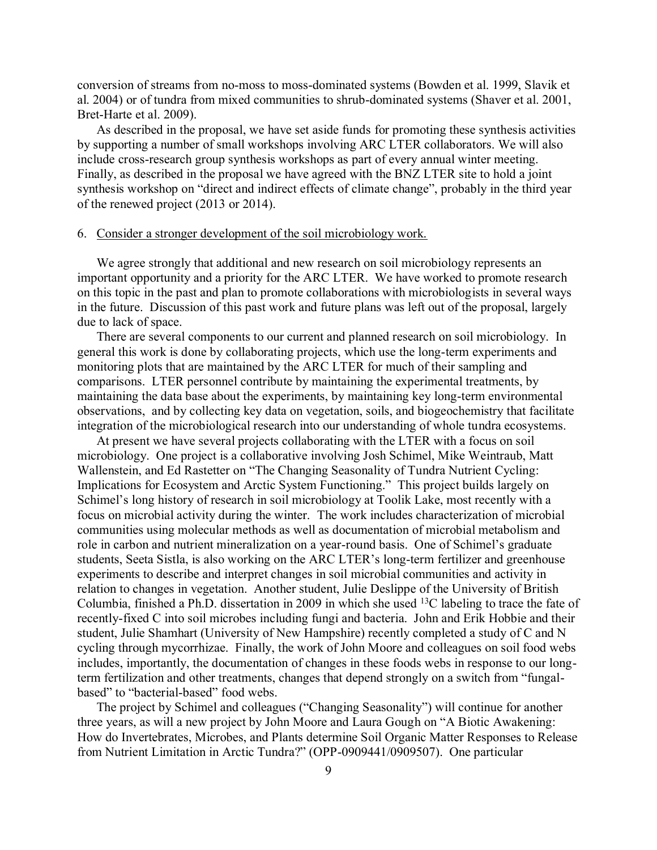conversion of streams from no-moss to moss-dominated systems (Bowden et al. 1999, Slavik et al. 2004) or of tundra from mixed communities to shrub-dominated systems (Shaver et al. 2001, Bret-Harte et al. 2009).

As described in the proposal, we have set aside funds for promoting these synthesis activities by supporting a number of small workshops involving ARC LTER collaborators. We will also include cross-research group synthesis workshops as part of every annual winter meeting. Finally, as described in the proposal we have agreed with the BNZ LTER site to hold a joint synthesis workshop on "direct and indirect effects of climate change", probably in the third year of the renewed project (2013 or 2014).

## 6. Consider a stronger development of the soil microbiology work.

We agree strongly that additional and new research on soil microbiology represents an important opportunity and a priority for the ARC LTER. We have worked to promote research on this topic in the past and plan to promote collaborations with microbiologists in several ways in the future. Discussion of this past work and future plans was left out of the proposal, largely due to lack of space.

There are several components to our current and planned research on soil microbiology. In general this work is done by collaborating projects, which use the long-term experiments and monitoring plots that are maintained by the ARC LTER for much of their sampling and comparisons. LTER personnel contribute by maintaining the experimental treatments, by maintaining the data base about the experiments, by maintaining key long-term environmental observations, and by collecting key data on vegetation, soils, and biogeochemistry that facilitate integration of the microbiological research into our understanding of whole tundra ecosystems.

At present we have several projects collaborating with the LTER with a focus on soil microbiology. One project is a collaborative involving Josh Schimel, Mike Weintraub, Matt Wallenstein, and Ed Rastetter on "The Changing Seasonality of Tundra Nutrient Cycling: Implications for Ecosystem and Arctic System Functioning." This project builds largely on Schimel's long history of research in soil microbiology at Toolik Lake, most recently with a focus on microbial activity during the winter. The work includes characterization of microbial communities using molecular methods as well as documentation of microbial metabolism and role in carbon and nutrient mineralization on a year-round basis. One of Schimel's graduate students, Seeta Sistla, is also working on the ARC LTER's long-term fertilizer and greenhouse experiments to describe and interpret changes in soil microbial communities and activity in relation to changes in vegetation. Another student, Julie Deslippe of the University of British Columbia, finished a Ph.D. dissertation in 2009 in which she used <sup>13</sup>C labeling to trace the fate of recently-fixed C into soil microbes including fungi and bacteria. John and Erik Hobbie and their student, Julie Shamhart (University of New Hampshire) recently completed a study of C and N cycling through mycorrhizae. Finally, the work of John Moore and colleagues on soil food webs includes, importantly, the documentation of changes in these foods webs in response to our longterm fertilization and other treatments, changes that depend strongly on a switch from "fungalbased" to "bacterial-based" food webs.

The project by Schimel and colleagues ("Changing Seasonality") will continue for another three years, as will a new project by John Moore and Laura Gough on "A Biotic Awakening: How do Invertebrates, Microbes, and Plants determine Soil Organic Matter Responses to Release from Nutrient Limitation in Arctic Tundra?" (OPP-0909441/0909507). One particular